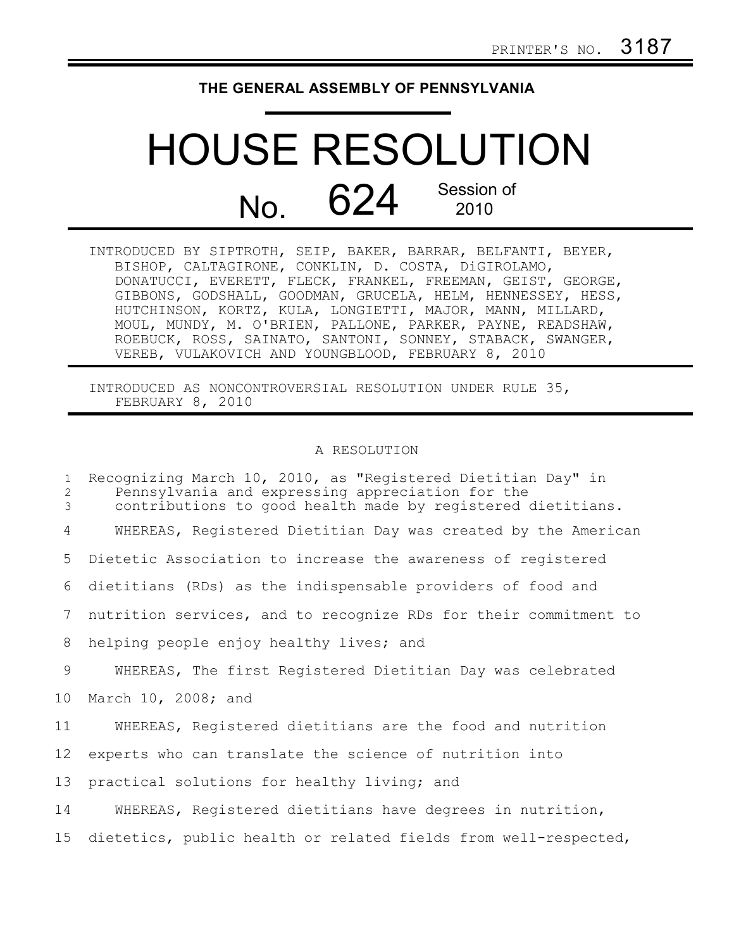## **THE GENERAL ASSEMBLY OF PENNSYLVANIA**

## HOUSE RESOLUTION  $N<sub>O</sub>$  624 Session of 2010

INTRODUCED BY SIPTROTH, SEIP, BAKER, BARRAR, BELFANTI, BEYER, BISHOP, CALTAGIRONE, CONKLIN, D. COSTA, DiGIROLAMO, DONATUCCI, EVERETT, FLECK, FRANKEL, FREEMAN, GEIST, GEORGE, GIBBONS, GODSHALL, GOODMAN, GRUCELA, HELM, HENNESSEY, HESS, HUTCHINSON, KORTZ, KULA, LONGIETTI, MAJOR, MANN, MILLARD, MOUL, MUNDY, M. O'BRIEN, PALLONE, PARKER, PAYNE, READSHAW, ROEBUCK, ROSS, SAINATO, SANTONI, SONNEY, STABACK, SWANGER, VEREB, VULAKOVICH AND YOUNGBLOOD, FEBRUARY 8, 2010

INTRODUCED AS NONCONTROVERSIAL RESOLUTION UNDER RULE 35, FEBRUARY 8, 2010

## A RESOLUTION

| $\mathbf{1}$<br>2<br>3 | Recognizing March 10, 2010, as "Registered Dietitian Day" in<br>Pennsylvania and expressing appreciation for the<br>contributions to good health made by registered dietitians. |
|------------------------|---------------------------------------------------------------------------------------------------------------------------------------------------------------------------------|
| 4                      | WHEREAS, Registered Dietitian Day was created by the American                                                                                                                   |
| 5                      | Dietetic Association to increase the awareness of registered                                                                                                                    |
| 6                      | dietitians (RDs) as the indispensable providers of food and                                                                                                                     |
| $7\phantom{.0}$        | nutrition services, and to recognize RDs for their commitment to                                                                                                                |
| 8                      | helping people enjoy healthy lives; and                                                                                                                                         |
| 9                      | WHEREAS, The first Registered Dietitian Day was celebrated                                                                                                                      |
| 10 <sub>o</sub>        | March 10, 2008; and                                                                                                                                                             |
| 11                     | WHEREAS, Registered dietitians are the food and nutrition                                                                                                                       |
| 12 <sup>°</sup>        | experts who can translate the science of nutrition into                                                                                                                         |
| 13                     | practical solutions for healthy living; and                                                                                                                                     |
| 14                     | WHEREAS, Registered dietitians have degrees in nutrition,                                                                                                                       |
| 15 <sub>1</sub>        | dietetics, public health or related fields from well-respected,                                                                                                                 |
|                        |                                                                                                                                                                                 |